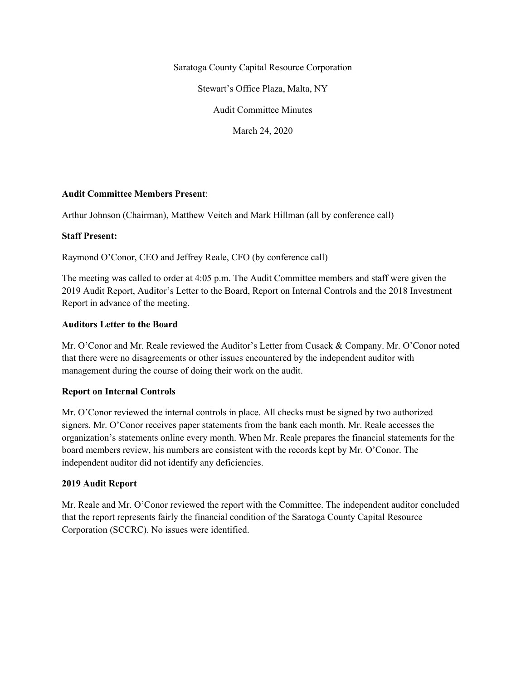Saratoga County Capital Resource Corporation

Stewart's Office Plaza, Malta, NY

Audit Committee Minutes

March 24, 2020

## **Audit Committee Members Present**:

Arthur Johnson (Chairman), Matthew Veitch and Mark Hillman (all by conference call)

## **Staff Present:**

Raymond O'Conor, CEO and Jeffrey Reale, CFO (by conference call)

The meeting was called to order at 4:05 p.m. The Audit Committee members and staff were given the 2019 Audit Report, Auditor's Letter to the Board, Report on Internal Controls and the 2018 Investment Report in advance of the meeting.

## **Auditors Letter to the Board**

Mr. O'Conor and Mr. Reale reviewed the Auditor's Letter from Cusack & Company. Mr. O'Conor noted that there were no disagreements or other issues encountered by the independent auditor with management during the course of doing their work on the audit.

# **Report on Internal Controls**

Mr. O'Conor reviewed the internal controls in place. All checks must be signed by two authorized signers. Mr. O'Conor receives paper statements from the bank each month. Mr. Reale accesses the organization's statements online every month. When Mr. Reale prepares the financial statements for the board members review, his numbers are consistent with the records kept by Mr. O'Conor. The independent auditor did not identify any deficiencies.

### **2019 Audit Report**

Mr. Reale and Mr. O'Conor reviewed the report with the Committee. The independent auditor concluded that the report represents fairly the financial condition of the Saratoga County Capital Resource Corporation (SCCRC). No issues were identified.